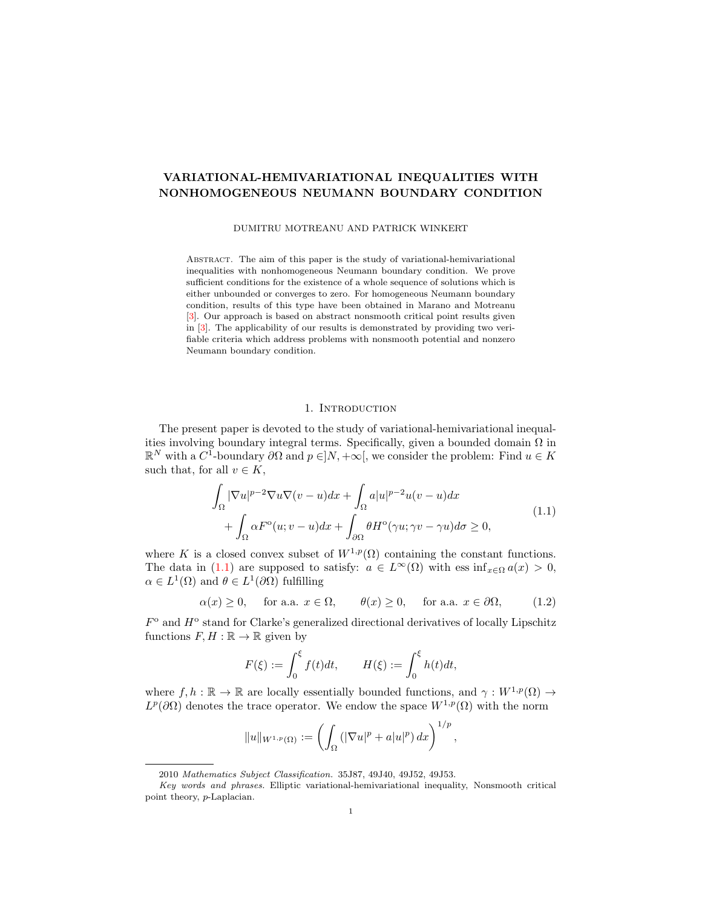# VARIATIONAL-HEMIVARIATIONAL INEQUALITIES WITH NONHOMOGENEOUS NEUMANN BOUNDARY CONDITION

DUMITRU MOTREANU AND PATRICK WINKERT

Abstract. The aim of this paper is the study of variational-hemivariational inequalities with nonhomogeneous Neumann boundary condition. We prove sufficient conditions for the existence of a whole sequence of solutions which is either unbounded or converges to zero. For homogeneous Neumann boundary condition, results of this type have been obtained in Marano and Motreanu [\[3\]](#page-7-0). Our approach is based on abstract nonsmooth critical point results given in [\[3\]](#page-7-0). The applicability of our results is demonstrated by providing two verifiable criteria which address problems with nonsmooth potential and nonzero Neumann boundary condition.

## <span id="page-0-1"></span><span id="page-0-0"></span>1. INTRODUCTION

The present paper is devoted to the study of variational-hemivariational inequalities involving boundary integral terms. Specifically, given a bounded domain  $\Omega$  in  $\mathbb{R}^N$  with a  $C^1$ -boundary  $\partial\Omega$  and  $p \in ]N, +\infty[$ , we consider the problem: Find  $u \in K$ such that, for all  $v \in K$ ,

$$
\int_{\Omega} |\nabla u|^{p-2} \nabla u \nabla (v - u) dx + \int_{\Omega} a|u|^{p-2} u(v - u) dx \n+ \int_{\Omega} \alpha F^{\circ}(u; v - u) dx + \int_{\partial \Omega} \theta H^{\circ}(\gamma u; \gamma v - \gamma u) d\sigma \ge 0,
$$
\n(1.1)

where K is a closed convex subset of  $W^{1,p}(\Omega)$  containing the constant functions. The data in [\(1.1\)](#page-0-0) are supposed to satisfy:  $a \in L^{\infty}(\Omega)$  with ess inf<sub>x∈Ω</sub>  $a(x) > 0$ ,  $\alpha \in L^1(\Omega)$  and  $\theta \in L^1(\partial\Omega)$  fulfilling

$$
\alpha(x) \ge 0
$$
, for a.a.  $x \in \Omega$ ,  $\theta(x) \ge 0$ , for a.a.  $x \in \partial\Omega$ , (1.2)

 $F<sup>o</sup>$  and  $H<sup>o</sup>$  stand for Clarke's generalized directional derivatives of locally Lipschitz functions  $F, H : \mathbb{R} \to \mathbb{R}$  given by

$$
F(\xi) := \int_0^{\xi} f(t)dt, \qquad H(\xi) := \int_0^{\xi} h(t)dt,
$$

where  $f, h : \mathbb{R} \to \mathbb{R}$  are locally essentially bounded functions, and  $\gamma : W^{1,p}(\Omega) \to$  $L^p(\partial\Omega)$  denotes the trace operator. We endow the space  $W^{1,p}(\Omega)$  with the norm

$$
||u||_{W^{1,p}(\Omega)} := \left(\int_{\Omega} (|\nabla u|^p + a|u|^p) \, dx\right)^{1/p},
$$

<sup>2010</sup> Mathematics Subject Classification. 35J87, 49J40, 49J52, 49J53.

Key words and phrases. Elliptic variational-hemivariational inequality, Nonsmooth critical point theory, p-Laplacian.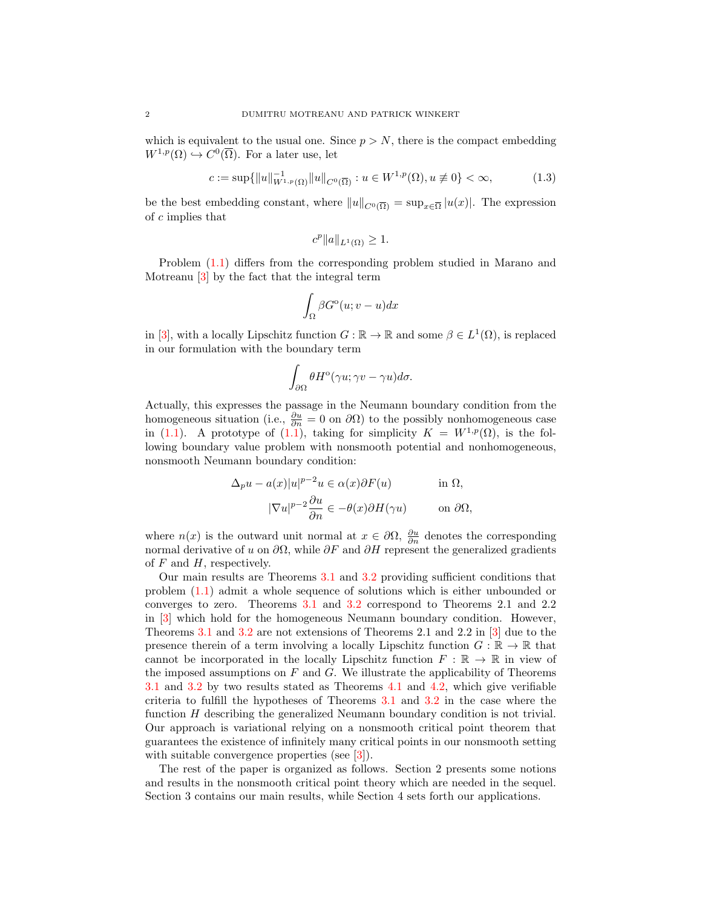which is equivalent to the usual one. Since  $p > N$ , there is the compact embedding  $W^{1,p}(\Omega) \hookrightarrow C^0(\overline{\Omega})$ . For a later use, let

$$
c := \sup \{ \|u\|_{W^{1,p}(\Omega)}^{-1} \|u\|_{C^0(\overline{\Omega})} : u \in W^{1,p}(\Omega), u \not\equiv 0 \} < \infty,\tag{1.3}
$$

be the best embedding constant, where  $||u||_{C^0(\overline{\Omega})} = \sup_{x \in \overline{\Omega}} |u(x)|$ . The expression of c implies that

<span id="page-1-0"></span>
$$
c^p ||a||_{L^1(\Omega)} \ge 1.
$$

Problem [\(1.1\)](#page-0-0) differs from the corresponding problem studied in Marano and Motreanu [\[3\]](#page-7-0) by the fact that the integral term

$$
\int_{\Omega} \beta G^{\rm o}(u;v-u)dx
$$

in [\[3\]](#page-7-0), with a locally Lipschitz function  $G : \mathbb{R} \to \mathbb{R}$  and some  $\beta \in L^1(\Omega)$ , is replaced in our formulation with the boundary term

$$
\int_{\partial\Omega} \theta H^{\rm o}(\gamma u;\gamma v - \gamma u)d\sigma.
$$

Actually, this expresses the passage in the Neumann boundary condition from the homogeneous situation (i.e.,  $\frac{\partial u}{\partial n} = 0$  on  $\partial \Omega$ ) to the possibly nonhomogeneous case in [\(1.1\)](#page-0-0). A prototype of (1.1), taking for simplicity  $K = W^{1,p}(\Omega)$ , is the following boundary value problem with nonsmooth potential and nonhomogeneous, nonsmooth Neumann boundary condition:

$$
\Delta_p u - a(x)|u|^{p-2}u \in \alpha(x)\partial F(u) \quad \text{in } \Omega,
$$

$$
|\nabla u|^{p-2}\frac{\partial u}{\partial n} \in -\theta(x)\partial H(\gamma u) \quad \text{on } \partial \Omega,
$$

where  $n(x)$  is the outward unit normal at  $x \in \partial\Omega$ ,  $\frac{\partial u}{\partial n}$  denotes the corresponding normal derivative of u on  $\partial\Omega$ , while  $\partial F$  and  $\partial H$  represent the generalized gradients of  $F$  and  $H$ , respectively.

Our main results are Theorems [3.1](#page-3-0) and [3.2](#page-5-0) providing sufficient conditions that problem [\(1.1\)](#page-0-0) admit a whole sequence of solutions which is either unbounded or converges to zero. Theorems [3.1](#page-3-0) and [3.2](#page-5-0) correspond to Theorems 2.1 and 2.2 in [\[3\]](#page-7-0) which hold for the homogeneous Neumann boundary condition. However, Theorems [3.1](#page-3-0) and [3.2](#page-5-0) are not extensions of Theorems 2.1 and 2.2 in [\[3\]](#page-7-0) due to the presence therein of a term involving a locally Lipschitz function  $G : \mathbb{R} \to \mathbb{R}$  that cannot be incorporated in the locally Lipschitz function  $F : \mathbb{R} \to \mathbb{R}$  in view of the imposed assumptions on  $F$  and  $G$ . We illustrate the applicability of Theorems [3.1](#page-3-0) and [3.2](#page-5-0) by two results stated as Theorems [4.1](#page-5-1) and [4.2,](#page-6-0) which give verifiable criteria to fulfill the hypotheses of Theorems [3.1](#page-3-0) and [3.2](#page-5-0) in the case where the function H describing the generalized Neumann boundary condition is not trivial. Our approach is variational relying on a nonsmooth critical point theorem that guarantees the existence of infinitely many critical points in our nonsmooth setting with suitable convergence properties (see [\[3\]](#page-7-0)).

The rest of the paper is organized as follows. Section 2 presents some notions and results in the nonsmooth critical point theory which are needed in the sequel. Section 3 contains our main results, while Section 4 sets forth our applications.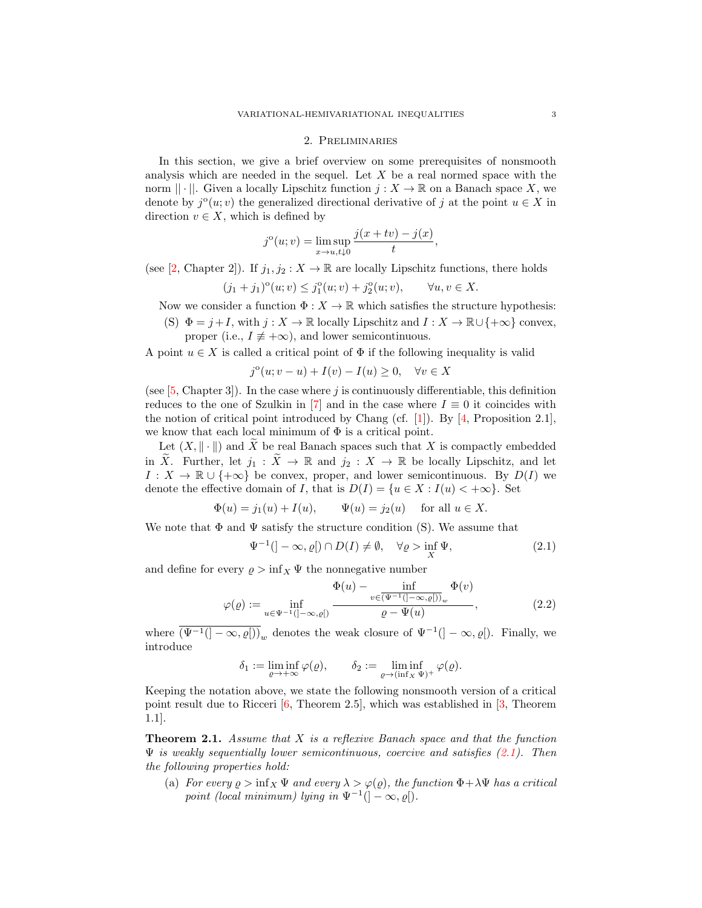#### 2. Preliminaries

In this section, we give a brief overview on some prerequisites of nonsmooth analysis which are needed in the sequel. Let  $X$  be a real normed space with the norm  $|| \cdot ||$ . Given a locally Lipschitz function  $j : X \to \mathbb{R}$  on a Banach space X, we denote by  $j^{\circ}(u; v)$  the generalized directional derivative of j at the point  $u \in X$  in direction  $v \in X$ , which is defined by

$$
j^{o}(u; v) = \limsup_{x \to u, t \downarrow 0} \frac{j(x + tv) - j(x)}{t},
$$

(see [\[2,](#page-7-1) Chapter 2]). If  $j_1, j_2 : X \to \mathbb{R}$  are locally Lipschitz functions, there holds

$$
(j_1 + j_1)^{\circ}(u; v) \leq j_1^{\circ}(u; v) + j_2^{\circ}(u; v), \qquad \forall u, v \in X.
$$

Now we consider a function  $\Phi: X \to \mathbb{R}$  which satisfies the structure hypothesis:

(S)  $\Phi = j + I$ , with  $j : X \to \mathbb{R}$  locally Lipschitz and  $I : X \to \mathbb{R} \cup \{+\infty\}$  convex, proper (i.e.,  $I \neq +\infty$ ), and lower semicontinuous.

A point  $u \in X$  is called a critical point of  $\Phi$  if the following inequality is valid

$$
j^{o}(u; v - u) + I(v) - I(u) \ge 0, \quad \forall v \in X
$$

(see  $[5, Chapter 3]$  $[5, Chapter 3]$ ). In the case where j is continuously differentiable, this definition reduces to the one of Szulkin in [\[7\]](#page-7-3) and in the case where  $I \equiv 0$  it coincides with the notion of critical point introduced by Chang (cf. [\[1\]](#page-7-4)). By [\[4,](#page-7-5) Proposition 2.1], we know that each local minimum of  $\Phi$  is a critical point.

Let  $(X, \|\cdot\|)$  and X be real Banach spaces such that X is compactly embedded in  $\widetilde{X}$ . Further, let  $j_1 : \widetilde{X} \to \mathbb{R}$  and  $j_2 : X \to \mathbb{R}$  be locally Lipschitz, and let  $I: X \to \mathbb{R} \cup \{+\infty\}$  be convex, proper, and lower semicontinuous. By  $D(I)$  we denote the effective domain of I, that is  $D(I) = \{u \in X : I(u) < +\infty\}$ . Set

$$
\Phi(u) = j_1(u) + I(u), \quad \Psi(u) = j_2(u) \quad \text{for all } u \in X.
$$

We note that  $\Phi$  and  $\Psi$  satisfy the structure condition (S). We assume that

<span id="page-2-2"></span><span id="page-2-0"></span>
$$
\Psi^{-1}(]-\infty,\varrho[)\cap D(I)\neq\emptyset,\quad\forall\varrho>\inf_{X}\Psi,
$$
\n(2.1)

and define for every  $\rho > \inf_X \Psi$  the nonnegative number

$$
\varphi(\varrho) := \inf_{u \in \Psi^{-1}(\mathcal{I} - \infty, \varrho[\mathcal{I} - \mathcal{I} - \mathcal{I} - \mathcal{I} - \mathcal{I} - \mathcal{I} - \mathcal{I} - \mathcal{I} - \mathcal{I} - \mathcal{I} - \mathcal{I} - \mathcal{I}} \frac{\Phi(v)}{\varrho - \Psi(u)},
$$
\n(2.2)

where  $\overline{(\Psi^{-1}([- \infty, \varrho]))}_w$  denotes the weak closure of  $\Psi^{-1}([- \infty, \varrho])$ . Finally, we introduce

$$
\delta_1:=\liminf_{\varrho\to+\infty}\varphi(\varrho),\qquad \delta_2:=\liminf_{\varrho\to(\inf_X\Psi)^+}\varphi(\varrho).
$$

Keeping the notation above, we state the following nonsmooth version of a critical point result due to Ricceri  $[6,$  Theorem 2.5], which was established in  $[3,$  Theorem 1.1].

<span id="page-2-1"></span>**Theorem 2.1.** Assume that  $X$  is a reflexive Banach space and that the function  $\Psi$  is weakly sequentially lower semicontinuous, coercive and satisfies [\(2.1\)](#page-2-0). Then the following properties hold:

(a) For every  $\rho > \inf_X \Psi$  and every  $\lambda > \varphi(\varrho)$ , the function  $\Phi + \lambda \Psi$  has a critical point (local minimum) lying in  $\Psi^{-1}(\vert -\infty, \varrho \vert)$ .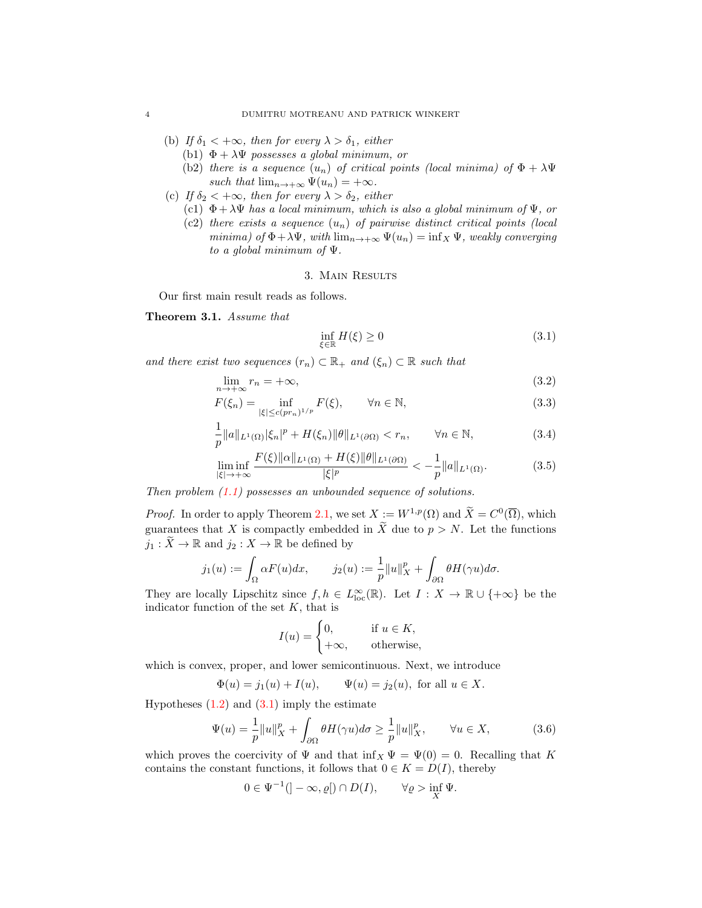- (b) If  $\delta_1 < +\infty$ , then for every  $\lambda > \delta_1$ , either
	- (b1)  $\Phi + \lambda \Psi$  possesses a global minimum, or
	- (b2) there is a sequence  $(u_n)$  of critical points (local minima) of  $\Phi + \lambda \Psi$ such that  $\lim_{n\to+\infty} \Psi(u_n) = +\infty$ .
- (c) If  $\delta_2 < +\infty$ , then for every  $\lambda > \delta_2$ , either
	- (c1)  $\Phi + \lambda \Psi$  has a local minimum, which is also a global minimum of  $\Psi$ , or
	- (c2) there exists a sequence  $(u_n)$  of pairwise distinct critical points (local minima) of  $\Phi + \lambda \Psi$ , with  $\lim_{n \to +\infty} \Psi(u_n) = \inf_X \Psi$ , weakly converging to a global minimum of  $\Psi$ .

#### 3. Main Results

Our first main result reads as follows.

### <span id="page-3-0"></span>Theorem 3.1. Assume that

<span id="page-3-6"></span><span id="page-3-5"></span><span id="page-3-4"></span><span id="page-3-3"></span><span id="page-3-1"></span>
$$
\inf_{\xi \in \mathbb{R}} H(\xi) \ge 0 \tag{3.1}
$$

and there exist two sequences  $(r_n) \subset \mathbb{R}_+$  and  $(\xi_n) \subset \mathbb{R}$  such that

$$
\lim_{n \to +\infty} r_n = +\infty,\tag{3.2}
$$

$$
F(\xi_n) = \inf_{|\xi| \le c(pr_n)^{1/p}} F(\xi), \qquad \forall n \in \mathbb{N},
$$
\n(3.3)

$$
\frac{1}{p}||a||_{L^{1}(\Omega)}|\xi_{n}|^{p} + H(\xi_{n})||\theta||_{L^{1}(\partial\Omega)} < r_{n}, \qquad \forall n \in \mathbb{N},
$$
\n(3.4)

$$
\liminf_{|\xi| \to +\infty} \frac{F(\xi) \| \alpha \|_{L^1(\Omega)} + H(\xi) \| \theta \|_{L^1(\partial \Omega)}}{|\xi|^p} < -\frac{1}{p} \| \alpha \|_{L^1(\Omega)}.\tag{3.5}
$$

Then problem  $(1.1)$  possesses an unbounded sequence of solutions.

*Proof.* In order to apply Theorem [2.1,](#page-2-1) we set  $X := W^{1,p}(\Omega)$  and  $\widetilde{X} = C^0(\overline{\Omega})$ , which guarantees that X is compactly embedded in  $\widetilde{X}$  due to  $p > N$ . Let the functions  $j_1 : \widetilde{X} \to \mathbb{R}$  and  $j_2 : X \to \mathbb{R}$  be defined by

$$
j_1(u) := \int_{\Omega} \alpha F(u) dx, \qquad j_2(u) := \frac{1}{p} ||u||_X^p + \int_{\partial \Omega} \theta H(\gamma u) d\sigma.
$$

They are locally Lipschitz since  $f, h \in L^{\infty}_{loc}(\mathbb{R})$ . Let  $I : X \to \mathbb{R} \cup \{+\infty\}$  be the indicator function of the set  $K$ , that is

<span id="page-3-2"></span>
$$
I(u) = \begin{cases} 0, & \text{if } u \in K, \\ +\infty, & \text{otherwise,} \end{cases}
$$

which is convex, proper, and lower semicontinuous. Next, we introduce

$$
\Phi(u) = j_1(u) + I(u), \quad \Psi(u) = j_2(u), \text{ for all } u \in X.
$$

Hypotheses  $(1.2)$  and  $(3.1)$  imply the estimate

$$
\Psi(u) = \frac{1}{p} ||u||_X^p + \int_{\partial \Omega} \theta H(\gamma u) d\sigma \ge \frac{1}{p} ||u||_X^p, \qquad \forall u \in X,
$$
 (3.6)

which proves the coercivity of  $\Psi$  and that  $\inf_X \Psi = \Psi(0) = 0$ . Recalling that K contains the constant functions, it follows that  $0 \in K = D(I)$ , thereby

$$
0 \in \Psi^{-1}([-\infty, \varrho[)\cap D(I)), \qquad \forall \varrho > \inf_{X} \Psi.
$$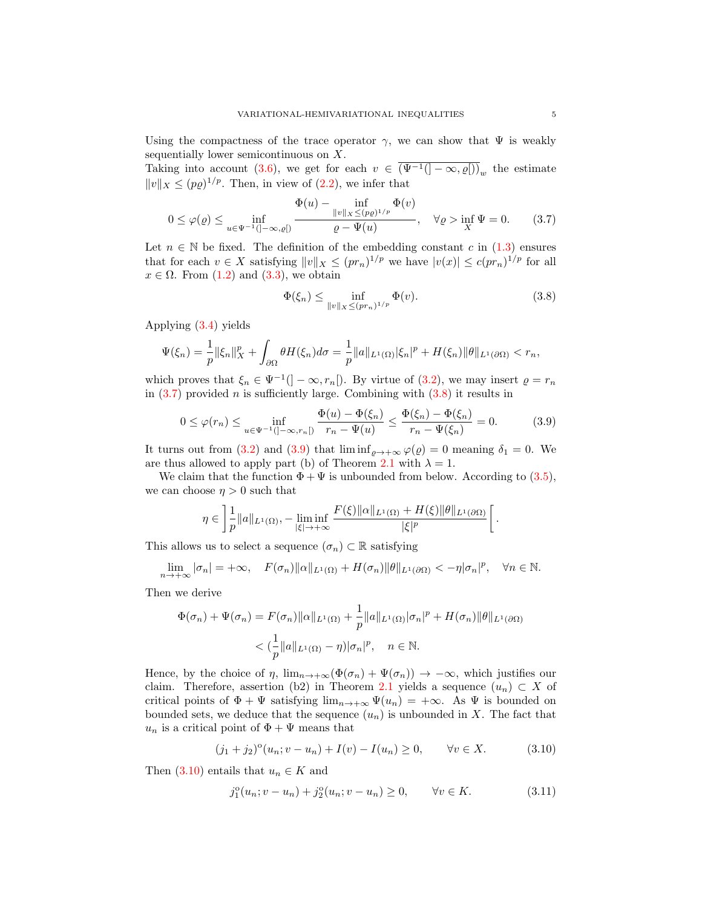Using the compactness of the trace operator  $\gamma$ , we can show that  $\Psi$  is weakly sequentially lower semicontinuous on X.

Taking into account [\(3.6\)](#page-3-2), we get for each  $v \in (\Psi^{-1}(\mathcal{I} - \infty, \varrho])_w$  the estimate  $||v||_X \leq (p\varrho)^{1/p}$ . Then, in view of  $(2.2)$ , we infer that

$$
0 \le \varphi(\varrho) \le \inf_{u \in \Psi^{-1}(]-\infty,\varrho[)} \frac{\Phi(u) - \inf_{\|v\|_X \le (p\varrho)^{1/p}} \Phi(v)}{\varrho - \Psi(u)}, \quad \forall \varrho > \inf_X \Psi = 0. \tag{3.7}
$$

Let  $n \in \mathbb{N}$  be fixed. The definition of the embedding constant c in [\(1.3\)](#page-1-0) ensures that for each  $v \in X$  satisfying  $||v||_X \leq (pr_n)^{1/p}$  we have  $|v(x)| \leq c(pr_n)^{1/p}$  for all  $x \in \Omega$ . From  $(1.2)$  and  $(3.3)$ , we obtain

<span id="page-4-2"></span><span id="page-4-1"></span><span id="page-4-0"></span>
$$
\Phi(\xi_n) \le \inf_{\|v\|_X \le (pr_n)^{1/p}} \Phi(v). \tag{3.8}
$$

Applying [\(3.4\)](#page-3-4) yields

$$
\Psi(\xi_n) = \frac{1}{p} \|\xi_n\|_X^p + \int_{\partial\Omega} \theta H(\xi_n) d\sigma = \frac{1}{p} \|a\|_{L^1(\Omega)} |\xi_n|^p + H(\xi_n) \|\theta\|_{L^1(\partial\Omega)} < r_n,
$$

which proves that  $\xi_n \in \Psi^{-1}([-\infty, r_n])$ . By virtue of  $(3.2)$ , we may insert  $\varrho = r_n$ in  $(3.7)$  provided *n* is sufficiently large. Combining with  $(3.8)$  it results in

$$
0 \le \varphi(r_n) \le \inf_{u \in \Psi^{-1}(\{-\infty, r_n\})} \frac{\Phi(u) - \Phi(\xi_n)}{r_n - \Psi(u)} \le \frac{\Phi(\xi_n) - \Phi(\xi_n)}{r_n - \Psi(\xi_n)} = 0. \tag{3.9}
$$

It turns out from [\(3.2\)](#page-3-5) and [\(3.9\)](#page-4-2) that  $\liminf_{\rho \to +\infty} \varphi(\varrho) = 0$  meaning  $\delta_1 = 0$ . We are thus allowed to apply part (b) of Theorem [2.1](#page-2-1) with  $\lambda = 1$ .

We claim that the function  $\Phi + \Psi$  is unbounded from below. According to [\(3.5\)](#page-3-6), we can choose  $\eta > 0$  such that

$$
\eta \in \left] \frac{1}{p} ||a||_{L^1(\Omega)}, - \liminf_{|\xi| \to +\infty} \frac{F(\xi) ||\alpha||_{L^1(\Omega)} + H(\xi) ||\theta||_{L^1(\partial \Omega)}}{|\xi|^p} \right[.
$$

This allows us to select a sequence  $(\sigma_n) \subset \mathbb{R}$  satisfying

$$
\lim_{n \to +\infty} |\sigma_n| = +\infty, \quad F(\sigma_n) ||\alpha||_{L^1(\Omega)} + H(\sigma_n) ||\theta||_{L^1(\partial\Omega)} < -\eta |\sigma_n|^p, \quad \forall n \in \mathbb{N}.
$$

Then we derive

$$
\Phi(\sigma_n) + \Psi(\sigma_n) = F(\sigma_n) ||\alpha||_{L^1(\Omega)} + \frac{1}{p} ||a||_{L^1(\Omega)} |\sigma_n|^p + H(\sigma_n) ||\theta||_{L^1(\partial\Omega)}
$$
  

$$
< \left(\frac{1}{p} ||a||_{L^1(\Omega)} - \eta\right) |\sigma_n|^p, \quad n \in \mathbb{N}.
$$

Hence, by the choice of  $\eta$ ,  $\lim_{n\to+\infty}(\Phi(\sigma_n)+\Psi(\sigma_n))\to-\infty$ , which justifies our claim. Therefore, assertion (b2) in Theorem [2.1](#page-2-1) yields a sequence  $(u_n) \subset X$  of critical points of  $\Phi + \Psi$  satisfying  $\lim_{n\to+\infty} \Psi(u_n) = +\infty$ . As  $\Psi$  is bounded on bounded sets, we deduce that the sequence  $(u_n)$  is unbounded in X. The fact that  $u_n$  is a critical point of  $\Phi + \Psi$  means that

$$
(j_1 + j_2)^{\circ}(u_n; v - u_n) + I(v) - I(u_n) \ge 0, \qquad \forall v \in X. \tag{3.10}
$$

Then [\(3.10\)](#page-4-3) entails that  $u_n \in K$  and

<span id="page-4-4"></span><span id="page-4-3"></span>
$$
j_1^o(u_n; v - u_n) + j_2^o(u_n; v - u_n) \ge 0, \qquad \forall v \in K.
$$
 (3.11)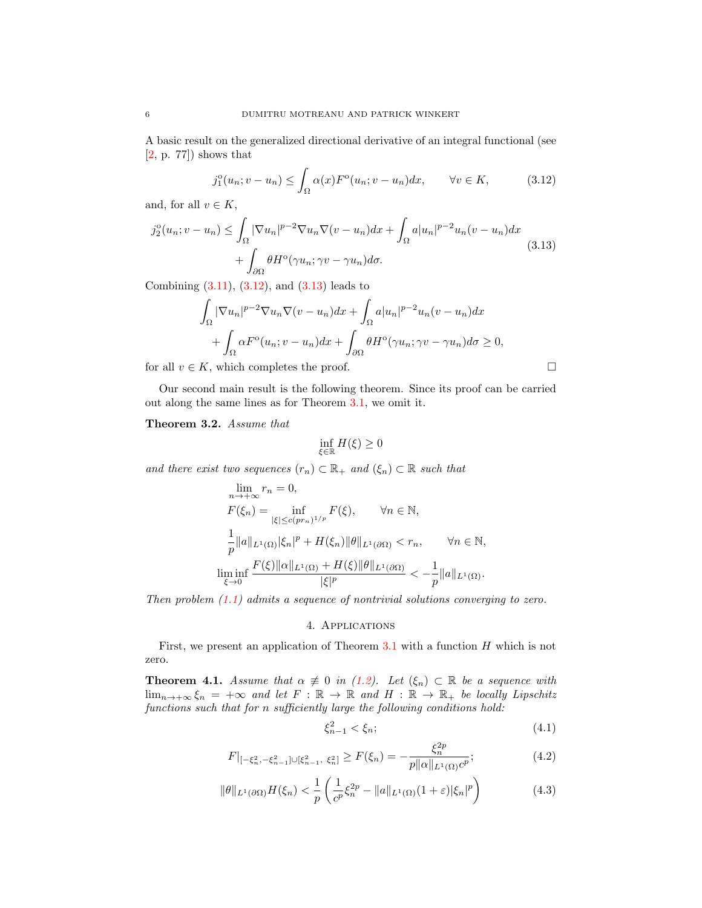A basic result on the generalized directional derivative of an integral functional (see [\[2,](#page-7-1) p. 77]) shows that

<span id="page-5-2"></span>
$$
j_1^o(u_n; v - u_n) \le \int_{\Omega} \alpha(x) F^o(u_n; v - u_n) dx, \qquad \forall v \in K,
$$
 (3.12)

and, for all  $v \in K$ ,

$$
j_2^o(u_n; v - u_n) \le \int_{\Omega} |\nabla u_n|^{p-2} \nabla u_n \nabla (v - u_n) dx + \int_{\Omega} a |u_n|^{p-2} u_n (v - u_n) dx
$$
  
+ 
$$
\int_{\partial \Omega} \theta H^o(\gamma u_n; \gamma v - \gamma u_n) d\sigma.
$$
 (3.13)

Combining  $(3.11)$ ,  $(3.12)$ , and  $(3.13)$  leads to

$$
\int_{\Omega} |\nabla u_n|^{p-2} \nabla u_n \nabla (v - u_n) dx + \int_{\Omega} a |u_n|^{p-2} u_n (v - u_n) dx
$$

$$
+ \int_{\Omega} \alpha F^{\circ}(u_n; v - u_n) dx + \int_{\partial \Omega} \theta H^{\circ}(\gamma u_n; \gamma v - \gamma u_n) d\sigma \ge 0,
$$

for all  $v \in K$ , which completes the proof.  $\square$ 

Our second main result is the following theorem. Since its proof can be carried out along the same lines as for Theorem [3.1,](#page-3-1) we omit it.

<span id="page-5-0"></span>Theorem 3.2. Assume that

<span id="page-5-3"></span>
$$
\inf_{\xi \in \mathbb{R}} H(\xi) \ge 0
$$

and there exist two sequences  $(r_n) \subset \mathbb{R}_+$  and  $(\xi_n) \subset \mathbb{R}$  such that

$$
\lim_{n \to +\infty} r_n = 0,
$$
\n
$$
F(\xi_n) = \inf_{|\xi| \leq c(pr_n)^{1/p}} F(\xi), \quad \forall n \in \mathbb{N},
$$
\n
$$
\frac{1}{p} ||a||_{L^1(\Omega)} |\xi_n|^p + H(\xi_n) ||\theta||_{L^1(\partial \Omega)} < r_n, \quad \forall n \in \mathbb{N},
$$
\n
$$
\liminf_{\xi \to 0} \frac{F(\xi) ||\alpha||_{L^1(\Omega)} + H(\xi) ||\theta||_{L^1(\partial \Omega)}}{|\xi|^p} < -\frac{1}{p} ||a||_{L^1(\Omega)}.
$$

Then problem  $(1.1)$  admits a sequence of nontrivial solutions converging to zero.

### 4. Applications

First, we present an application of Theorem  $3.1$  with a function  $H$  which is not zero.

<span id="page-5-1"></span>**Theorem 4.1.** Assume that  $\alpha \neq 0$  in [\(1.2\)](#page-0-1). Let  $(\xi_n) \subset \mathbb{R}$  be a sequence with  $\lim_{n\to+\infty}\xi_n = +\infty$  and let  $F : \mathbb{R} \to \mathbb{R}$  and  $H : \mathbb{R} \to \mathbb{R}$  be locally Lipschitz functions such that for n sufficiently large the following conditions hold:

<span id="page-5-4"></span>
$$
\xi_{n-1}^2 < \xi_n; \tag{4.1}
$$

<span id="page-5-5"></span>
$$
F|_{[-\xi_n^2, -\xi_{n-1}^2] \cup [\xi_{n-1}^2, \xi_n^2]} \ge F(\xi_n) = -\frac{\xi_n^{2p}}{p \| \alpha \|_{L^1(\Omega)} c^p};\tag{4.2}
$$

<span id="page-5-6"></span>
$$
\|\theta\|_{L^{1}(\partial\Omega)}H(\xi_{n}) < \frac{1}{p} \left( \frac{1}{c^{p}} \xi_{n}^{2p} - \|a\|_{L^{1}(\Omega)} (1+\varepsilon)|\xi_{n}|^{p} \right) \tag{4.3}
$$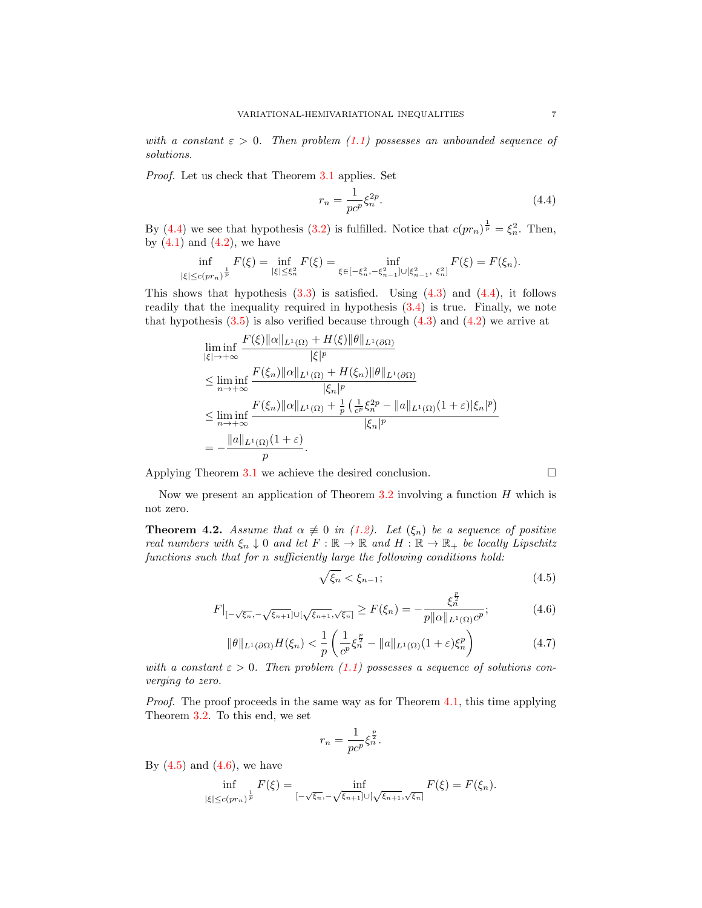with a constant  $\varepsilon > 0$ . Then problem [\(1.1\)](#page-0-0) possesses an unbounded sequence of solutions.

Proof. Let us check that Theorem [3.1](#page-3-0) applies. Set

<span id="page-6-1"></span>
$$
r_n = \frac{1}{pc^p} \xi_n^{2p}.
$$
\n(4.4)

By [\(4.4\)](#page-6-1) we see that hypothesis [\(3.2\)](#page-3-5) is fulfilled. Notice that  $c(pr_n)^{\frac{1}{p}} = \xi_n^2$ . Then, by  $(4.1)$  and  $(4.2)$ , we have

$$
\inf_{|\xi|\le c(pr_n)^{\frac{1}{p}}}F(\xi)=\inf_{|\xi|\le \xi_n^2}F(\xi)=\inf_{\xi\in [-\xi_n^2,-\xi_{n-1}^2]\cup [\xi_{n-1}^2,\ \xi_n^2]}F(\xi)=F(\xi_n).
$$

This shows that hypothesis  $(3.3)$  is satisfied. Using  $(4.3)$  and  $(4.4)$ , it follows readily that the inequality required in hypothesis [\(3.4\)](#page-3-4) is true. Finally, we note that hypothesis  $(3.5)$  is also verified because through  $(4.3)$  and  $(4.2)$  we arrive at

$$
\liminf_{|\xi| \to +\infty} \frac{F(\xi) \|\alpha\|_{L^1(\Omega)} + H(\xi) \|\theta\|_{L^1(\partial \Omega)}}{|\xi|^p}
$$
\n
$$
\leq \liminf_{n \to +\infty} \frac{F(\xi_n) \|\alpha\|_{L^1(\Omega)} + H(\xi_n) \|\theta\|_{L^1(\partial \Omega)}}{|\xi_n|^p}
$$
\n
$$
\leq \liminf_{n \to +\infty} \frac{F(\xi_n) \|\alpha\|_{L^1(\Omega)} + \frac{1}{p} \left(\frac{1}{c^p} \xi_n^{2p} - \|a\|_{L^1(\Omega)} (1 + \varepsilon) |\xi_n|^p\right)}{|\xi_n|^p}
$$
\n
$$
= -\frac{\|a\|_{L^1(\Omega)} (1 + \varepsilon)}{p}.
$$

Applying Theorem [3.1](#page-3-0) we achieve the desired conclusion.  $\square$ 

Now we present an application of Theorem  $3.2$  involving a function H which is not zero.

<span id="page-6-0"></span>**Theorem 4.2.** Assume that  $\alpha \neq 0$  in [\(1.2\)](#page-0-1). Let  $(\xi_n)$  be a sequence of positive real numbers with  $\xi_n \downarrow 0$  and let  $F : \mathbb{R} \to \mathbb{R}$  and  $H : \mathbb{R} \to \mathbb{R}_+$  be locally Lipschitz functions such that for n sufficiently large the following conditions hold:

<span id="page-6-2"></span>
$$
\sqrt{\xi_n} < \xi_{n-1};\tag{4.5}
$$

<span id="page-6-3"></span>
$$
F|_{[-\sqrt{\xi_n}, -\sqrt{\xi_{n+1}}] \cup [\sqrt{\xi_{n+1}}, \sqrt{\xi_n}]} \ge F(\xi_n) = -\frac{\xi_n^{\frac{p}{2}}}{p \| \alpha \|_{L^1(\Omega)} c^p};\tag{4.6}
$$

<span id="page-6-4"></span>
$$
\|\theta\|_{L^1(\partial\Omega)} H(\xi_n) < \frac{1}{p} \left( \frac{1}{c^p} \xi_n^{\frac{p}{2}} - \|a\|_{L^1(\Omega)} (1 + \varepsilon) \xi_n^p \right) \tag{4.7}
$$

with a constant  $\varepsilon > 0$ . Then problem [\(1.1\)](#page-0-0) possesses a sequence of solutions converging to zero.

*Proof.* The proof proceeds in the same way as for Theorem [4.1,](#page-5-1) this time applying Theorem [3.2.](#page-5-0) To this end, we set

$$
r_n = \frac{1}{pc^p} \xi_n^{\frac{p}{2}}.
$$

By  $(4.5)$  and  $(4.6)$ , we have

$$
\inf_{|\xi| \le c(pr_n)^{\frac{1}{p}}} F(\xi) = \inf_{[-\sqrt{\xi_n}, -\sqrt{\xi_{n+1}}] \cup [\sqrt{\xi_{n+1}}, \sqrt{\xi_n}]} F(\xi) = F(\xi_n).
$$